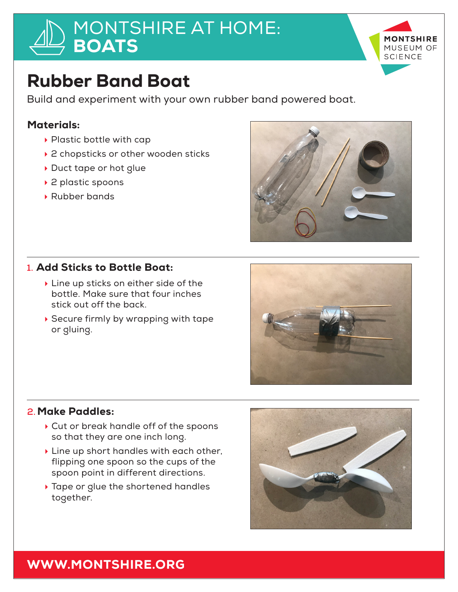# MONTSHIRE AT HOME: **BOATS**



# Rubber Band Boat

Build and experiment with your own rubber band powered boat.

### Materials:

- $\blacktriangleright$  Plastic bottle with cap
- $\rightarrow$  2 chopsticks or other wooden sticks
- Duct tape or hot glue
- ▶ 2 plastic spoons
- ▶ Rubber bands



### **1.** Add Sticks to Bottle Boat:

- $\blacktriangleright$  Line up sticks on either side of the bottle. Make sure that four inches stick out off the back.
- $\rightarrow$  Secure firmly by wrapping with tape or gluing.



#### **2.** Make Paddles:

- $\triangleright$  Cut or break handle off of the spoons so that they are one inch long.
- $\blacktriangleright$  Line up short handles with each other, flipping one spoon so the cups of the spoon point in different directions.
- $\rightarrow$  Tape or glue the shortened handles together.



## WWW.MONTSHIRE.ORG